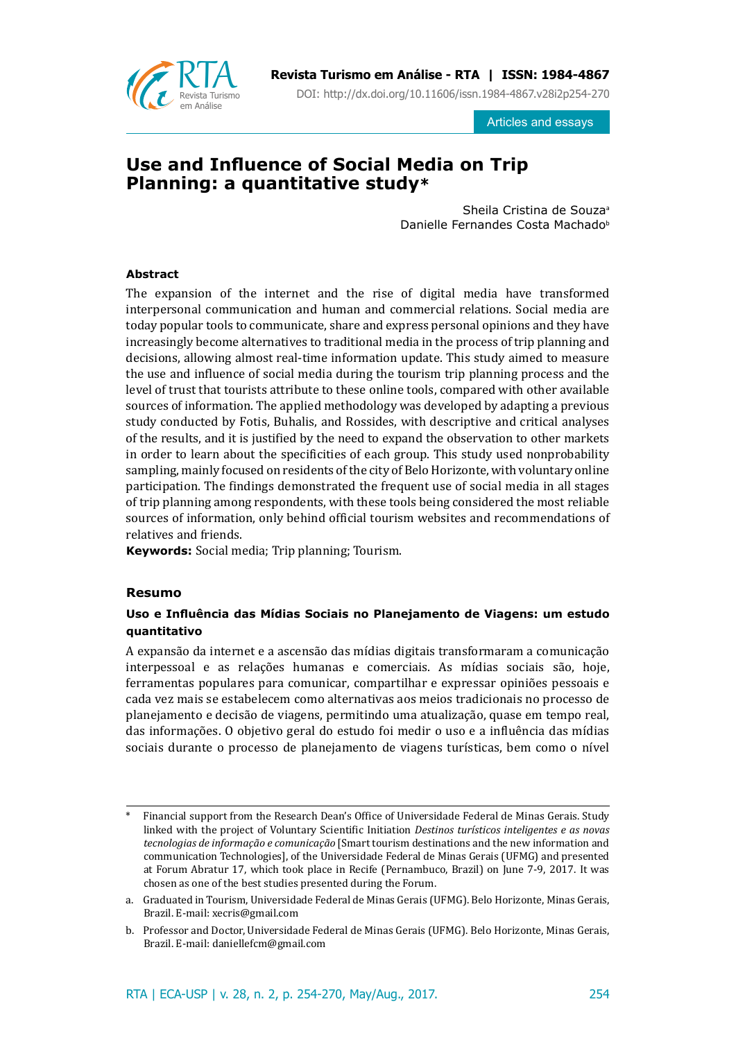

**Revista Turismo em Análise - RTA | ISSN: 1984-4867**

DOI: http://dx.doi.org/10.11606/issn.1984-4867.v28i2p254-270

Articles and essays

# **Use and Influence of Social Media on Trip Planning: a quantitative study\***

Sheila Cristina de Souza<sup>a</sup> Danielle Fernandes Costa Machado<sup>b</sup>

# **Abstract**

The expansion of the internet and the rise of digital media have transformed interpersonal communication and human and commercial relations. Social media are today popular tools to communicate, share and express personal opinions and they have increasingly become alternatives to traditional media in the process of trip planning and decisions, allowing almost real-time information update. This study aimed to measure the use and influence of social media during the tourism trip planning process and the level of trust that tourists attribute to these online tools, compared with other available sources of information. The applied methodology was developed by adapting a previous study conducted by Fotis, Buhalis, and Rossides, with descriptive and critical analyses of the results, and it is justified by the need to expand the observation to other markets in order to learn about the specificities of each group. This study used nonprobability sampling, mainly focused on residents of the city of Belo Horizonte, with voluntary online participation. The findings demonstrated the frequent use of social media in all stages of trip planning among respondents, with these tools being considered the most reliable sources of information, only behind official tourism websites and recommendations of relatives and friends.

**Keywords:** Social media; Trip planning; Tourism.

### **Resumo**

# **Uso e Influência das Mídias Sociais no Planejamento de Viagens: um estudo quantitativo**

A expansão da internet e a ascensão das mídias digitais transformaram a comunicação interpessoal e as relações humanas e comerciais. As mídias sociais são, hoje, ferramentas populares para comunicar, compartilhar e expressar opiniões pessoais e cada vez mais se estabelecem como alternativas aos meios tradicionais no processo de planejamento e decisão de viagens, permitindo uma atualização, quase em tempo real, das informações. O objetivo geral do estudo foi medir o uso e a influência das mídias sociais durante o processo de planejamento de viagens turísticas, bem como o nível

<sup>\*</sup> Financial support from the Research Dean's Office of Universidade Federal de Minas Gerais. Study linked with the project of Voluntary Scientific Initiation *Destinos turísticos inteligentes e as novas tecnologias de informação e comunicação* [Smart tourism destinations and the new information and communication Technologies], of the Universidade Federal de Minas Gerais (UFMG) and presented at Forum Abratur 17, which took place in Recife (Pernambuco, Brazil) on June 7-9, 2017. It was chosen as one of the best studies presented during the Forum.

a. Graduated in Tourism, Universidade Federal de Minas Gerais (UFMG). Belo Horizonte, Minas Gerais, Brazil. E-mail: xecris@gmail.com

b. Professor and Doctor, Universidade Federal de Minas Gerais (UFMG). Belo Horizonte, Minas Gerais, Brazil. E-mail: daniellefcm@gmail.com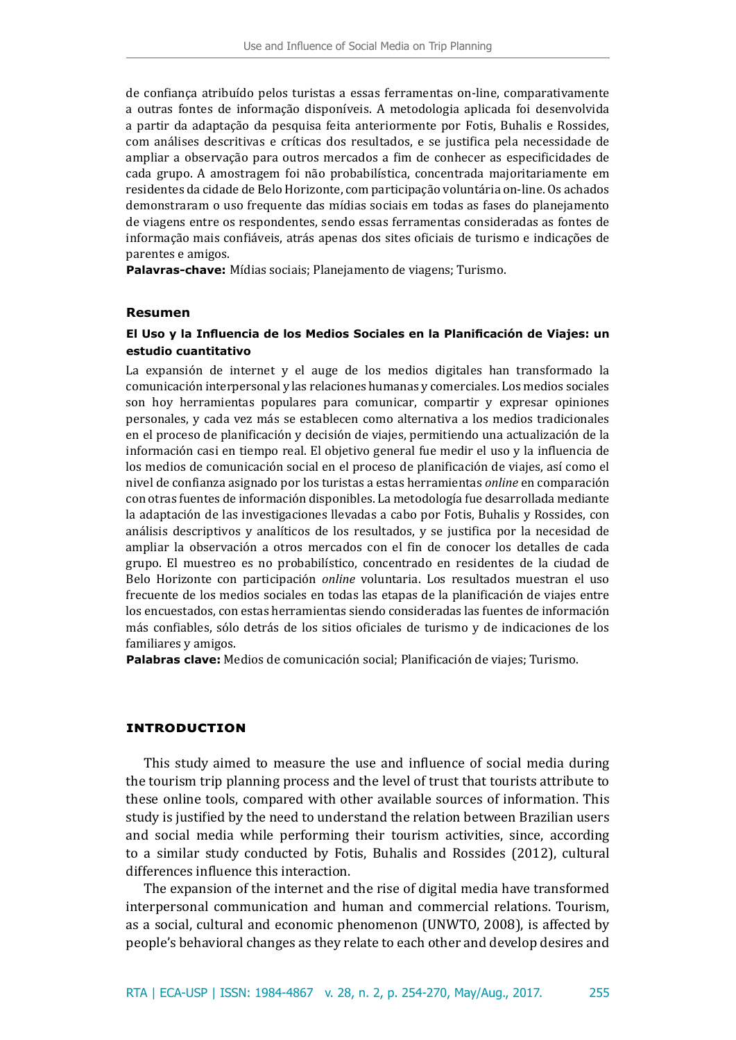de confiança atribuído pelos turistas a essas ferramentas on-line, comparativamente a outras fontes de informação disponíveis. A metodologia aplicada foi desenvolvida a partir da adaptação da pesquisa feita anteriormente por Fotis, Buhalis e Rossides, com análises descritivas e críticas dos resultados, e se justifica pela necessidade de ampliar a observação para outros mercados a fim de conhecer as especificidades de cada grupo. A amostragem foi não probabilística, concentrada majoritariamente em residentes da cidade de Belo Horizonte, com participação voluntária on-line. Os achados demonstraram o uso frequente das mídias sociais em todas as fases do planejamento de viagens entre os respondentes, sendo essas ferramentas consideradas as fontes de informação mais confiáveis, atrás apenas dos sites oficiais de turismo e indicações de parentes e amigos.

**Palavras-chave:** Mídias sociais; Planejamento de viagens; Turismo.

#### **Resumen**

# **El Uso y la Influencia de los Medios Sociales en la Planificación de Viajes: un estudio cuantitativo**

La expansión de internet y el auge de los medios digitales han transformado la comunicación interpersonal y las relaciones humanas y comerciales. Los medios sociales son hoy herramientas populares para comunicar, compartir y expresar opiniones personales, y cada vez más se establecen como alternativa a los medios tradicionales en el proceso de planificación y decisión de viajes, permitiendo una actualización de la información casi en tiempo real. El objetivo general fue medir el uso y la influencia de los medios de comunicación social en el proceso de planificación de viajes, así como el nivel de confianza asignado por los turistas a estas herramientas *online* en comparación con otras fuentes de información disponibles. La metodología fue desarrollada mediante la adaptación de las investigaciones llevadas a cabo por Fotis, Buhalis y Rossides, con análisis descriptivos y analíticos de los resultados, y se justifica por la necesidad de ampliar la observación a otros mercados con el fin de conocer los detalles de cada grupo. El muestreo es no probabilístico, concentrado en residentes de la ciudad de Belo Horizonte con participación *online* voluntaria. Los resultados muestran el uso frecuente de los medios sociales en todas las etapas de la planificación de viajes entre los encuestados, con estas herramientas siendo consideradas las fuentes de información más confiables, sólo detrás de los sitios oficiales de turismo y de indicaciones de los familiares y amigos.

**Palabras clave:** Medios de comunicación social; Planificación de viajes; Turismo.

### **introduction**

This study aimed to measure the use and influence of social media during the tourism trip planning process and the level of trust that tourists attribute to these online tools, compared with other available sources of information. This study is justified by the need to understand the relation between Brazilian users and social media while performing their tourism activities, since, according to a similar study conducted by Fotis, Buhalis and Rossides (2012), cultural differences influence this interaction.

The expansion of the internet and the rise of digital media have transformed interpersonal communication and human and commercial relations. Tourism, as a social, cultural and economic phenomenon (UNWTO, 2008), is affected by people's behavioral changes as they relate to each other and develop desires and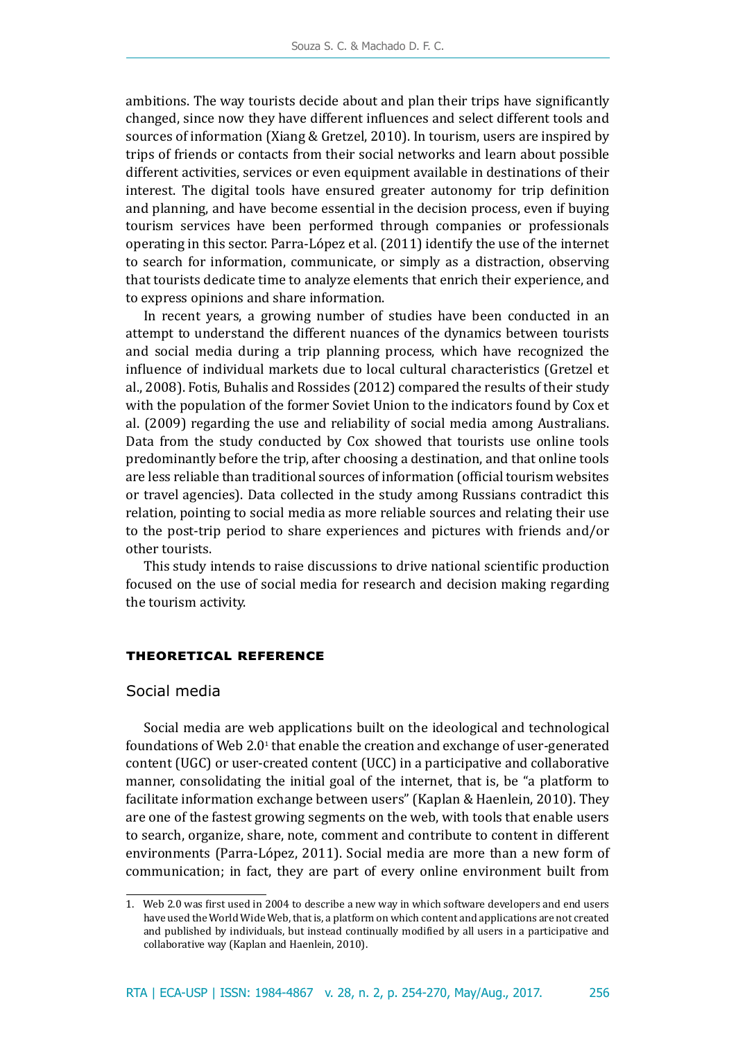ambitions. The way tourists decide about and plan their trips have significantly changed, since now they have different influences and select different tools and sources of information (Xiang & Gretzel, 2010). In tourism, users are inspired by trips of friends or contacts from their social networks and learn about possible different activities, services or even equipment available in destinations of their interest. The digital tools have ensured greater autonomy for trip definition and planning, and have become essential in the decision process, even if buying tourism services have been performed through companies or professionals operating in this sector. Parra-López et al. (2011) identify the use of the internet to search for information, communicate, or simply as a distraction, observing that tourists dedicate time to analyze elements that enrich their experience, and to express opinions and share information.

In recent years, a growing number of studies have been conducted in an attempt to understand the different nuances of the dynamics between tourists and social media during a trip planning process, which have recognized the influence of individual markets due to local cultural characteristics (Gretzel et al., 2008). Fotis, Buhalis and Rossides (2012) compared the results of their study with the population of the former Soviet Union to the indicators found by Cox et al. (2009) regarding the use and reliability of social media among Australians. Data from the study conducted by Cox showed that tourists use online tools predominantly before the trip, after choosing a destination, and that online tools are less reliable than traditional sources of information (official tourism websites or travel agencies). Data collected in the study among Russians contradict this relation, pointing to social media as more reliable sources and relating their use to the post-trip period to share experiences and pictures with friends and/or other tourists.

This study intends to raise discussions to drive national scientific production focused on the use of social media for research and decision making regarding the tourism activity.

### **theoretical reference**

### Social media

Social media are web applications built on the ideological and technological foundations of Web  $2.0^{\text{\tiny{1}}}$  that enable the creation and exchange of user-generated content (UGC) or user-created content (UCC) in a participative and collaborative manner, consolidating the initial goal of the internet, that is, be "a platform to facilitate information exchange between users" (Kaplan & Haenlein, 2010). They are one of the fastest growing segments on the web, with tools that enable users to search, organize, share, note, comment and contribute to content in different environments (Parra-López, 2011). Social media are more than a new form of communication; in fact, they are part of every online environment built from

<sup>1.</sup> Web 2.0 was first used in 2004 to describe a new way in which software developers and end users have used the World Wide Web, that is, a platform on which content and applications are not created and published by individuals, but instead continually modified by all users in a participative and collaborative way (Kaplan and Haenlein, 2010).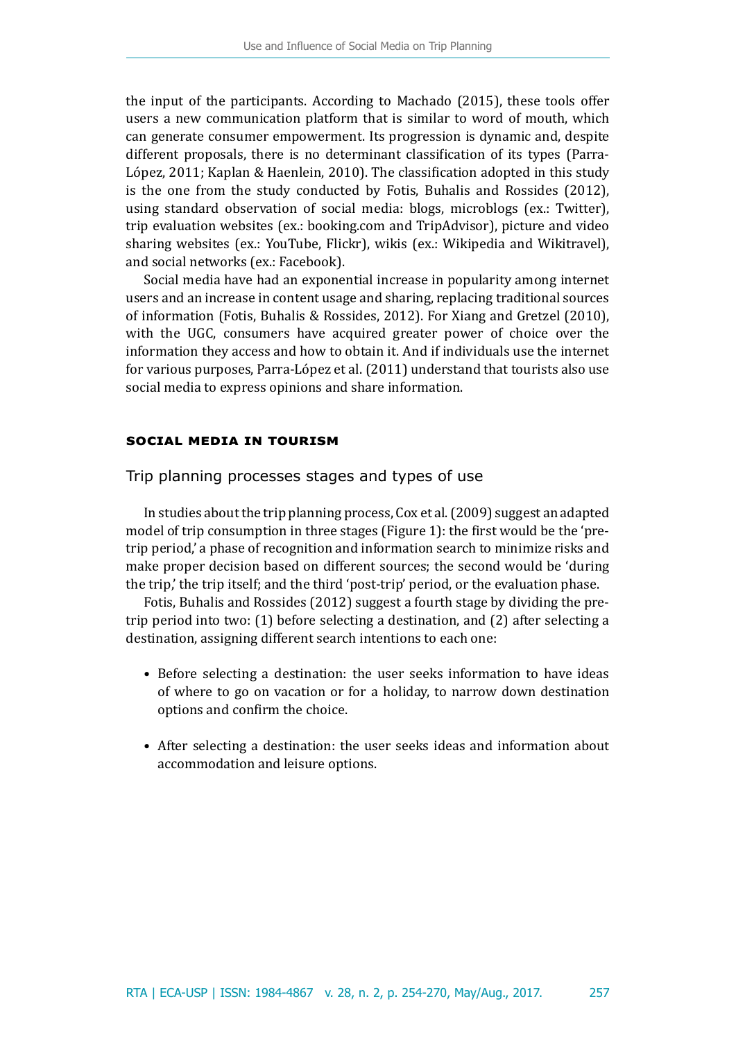the input of the participants. According to Machado (2015), these tools offer users a new communication platform that is similar to word of mouth, which can generate consumer empowerment. Its progression is dynamic and, despite different proposals, there is no determinant classification of its types (Parra-López, 2011; Kaplan & Haenlein, 2010). The classification adopted in this study is the one from the study conducted by Fotis, Buhalis and Rossides (2012), using standard observation of social media: blogs, microblogs (ex.: Twitter), trip evaluation websites (ex.: booking.com and TripAdvisor), picture and video sharing websites (ex.: YouTube, Flickr), wikis (ex.: Wikipedia and Wikitravel), and social networks (ex.: Facebook).

Social media have had an exponential increase in popularity among internet users and an increase in content usage and sharing, replacing traditional sources of information (Fotis, Buhalis & Rossides, 2012). For Xiang and Gretzel (2010), with the UGC, consumers have acquired greater power of choice over the information they access and how to obtain it. And if individuals use the internet for various purposes, Parra-López et al. (2011) understand that tourists also use social media to express opinions and share information.

# **social media in tourism**

Trip planning processes stages and types of use

In studies about the trip planning process, Cox et al. (2009) suggest an adapted model of trip consumption in three stages (Figure 1): the first would be the 'pretrip period,' a phase of recognition and information search to minimize risks and make proper decision based on different sources; the second would be 'during the trip,' the trip itself; and the third 'post-trip' period, or the evaluation phase.

Fotis, Buhalis and Rossides (2012) suggest a fourth stage by dividing the pretrip period into two: (1) before selecting a destination, and (2) after selecting a destination, assigning different search intentions to each one:

- Before selecting a destination: the user seeks information to have ideas of where to go on vacation or for a holiday, to narrow down destination options and confirm the choice.
- After selecting a destination: the user seeks ideas and information about accommodation and leisure options.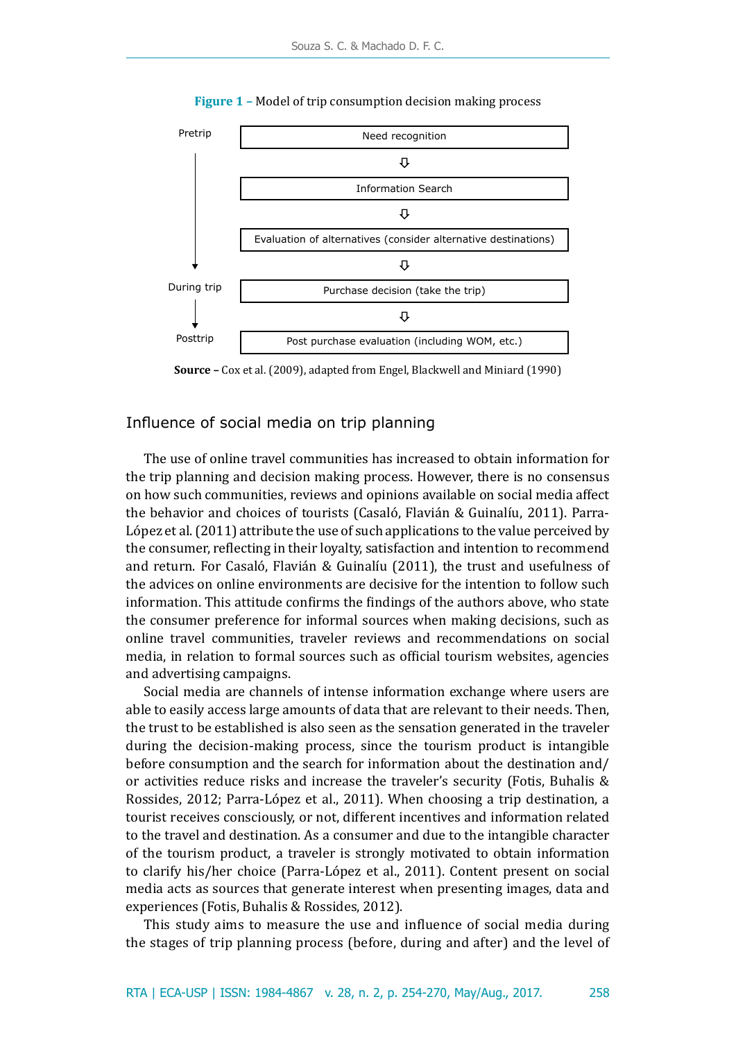

**Figure 1 –** Model of trip consumption decision making process



# Influence of social media on trip planning

The use of online travel communities has increased to obtain information for the trip planning and decision making process. However, there is no consensus on how such communities, reviews and opinions available on social media affect the behavior and choices of tourists (Casaló, Flavián & Guinalíu, 2011). Parra-López et al. (2011) attribute the use of such applications to the value perceived by the consumer, reflecting in their loyalty, satisfaction and intention to recommend and return. For Casaló, Flavián & Guinalíu (2011), the trust and usefulness of the advices on online environments are decisive for the intention to follow such information. This attitude confirms the findings of the authors above, who state the consumer preference for informal sources when making decisions, such as online travel communities, traveler reviews and recommendations on social media, in relation to formal sources such as official tourism websites, agencies and advertising campaigns.

Social media are channels of intense information exchange where users are able to easily access large amounts of data that are relevant to their needs. Then, the trust to be established is also seen as the sensation generated in the traveler during the decision-making process, since the tourism product is intangible before consumption and the search for information about the destination and/ or activities reduce risks and increase the traveler's security (Fotis, Buhalis & Rossides, 2012; Parra-López et al., 2011). When choosing a trip destination, a tourist receives consciously, or not, different incentives and information related to the travel and destination. As a consumer and due to the intangible character of the tourism product, a traveler is strongly motivated to obtain information to clarify his/her choice (Parra-López et al., 2011). Content present on social media acts as sources that generate interest when presenting images, data and experiences (Fotis, Buhalis & Rossides, 2012).

This study aims to measure the use and influence of social media during the stages of trip planning process (before, during and after) and the level of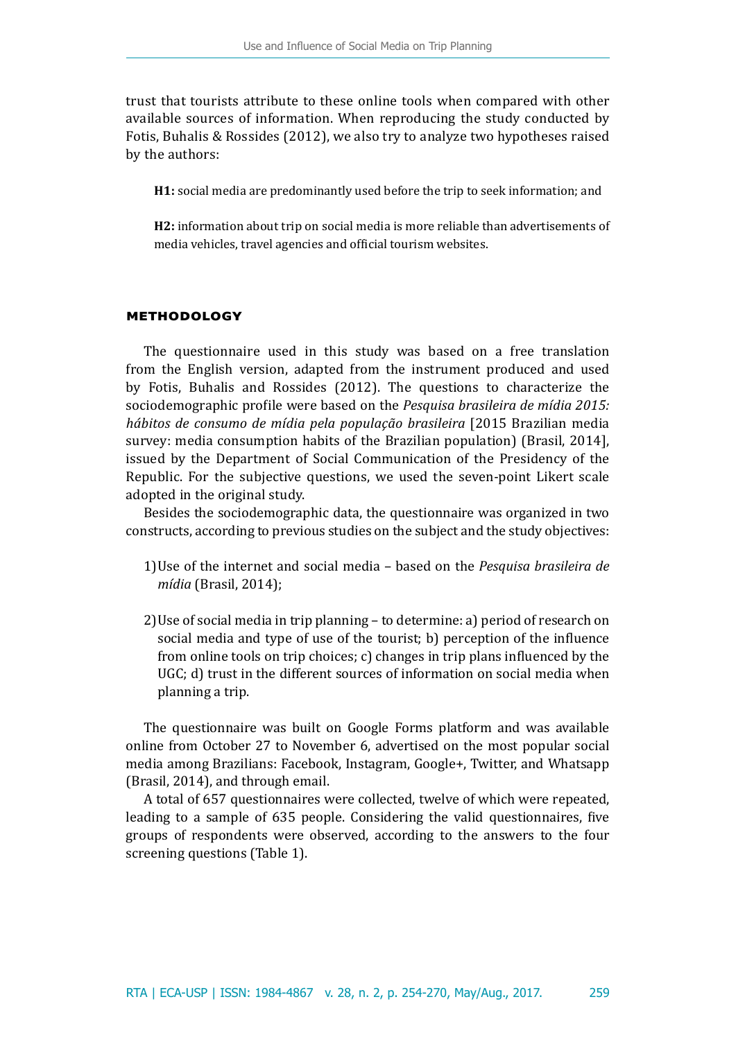trust that tourists attribute to these online tools when compared with other available sources of information. When reproducing the study conducted by Fotis, Buhalis & Rossides (2012), we also try to analyze two hypotheses raised by the authors:

**H1:** social media are predominantly used before the trip to seek information; and

**H2:** information about trip on social media is more reliable than advertisements of media vehicles, travel agencies and official tourism websites.

# **methodology**

The questionnaire used in this study was based on a free translation from the English version, adapted from the instrument produced and used by Fotis, Buhalis and Rossides (2012). The questions to characterize the sociodemographic profile were based on the *Pesquisa brasileira de mídia 2015: hábitos de consumo de mídia pela população brasileira* [2015 Brazilian media survey: media consumption habits of the Brazilian population) (Brasil, 2014], issued by the Department of Social Communication of the Presidency of the Republic. For the subjective questions, we used the seven-point Likert scale adopted in the original study.

Besides the sociodemographic data, the questionnaire was organized in two constructs, according to previous studies on the subject and the study objectives:

- 1)Use of the internet and social media based on the *Pesquisa brasileira de mídia* (Brasil, 2014);
- 2)Use of social media in trip planning to determine: a) period of research on social media and type of use of the tourist; b) perception of the influence from online tools on trip choices; c) changes in trip plans influenced by the UGC; d) trust in the different sources of information on social media when planning a trip.

The questionnaire was built on Google Forms platform and was available online from October 27 to November 6, advertised on the most popular social media among Brazilians: Facebook, Instagram, Google+, Twitter, and Whatsapp (Brasil, 2014), and through email.

A total of 657 questionnaires were collected, twelve of which were repeated, leading to a sample of 635 people. Considering the valid questionnaires, five groups of respondents were observed, according to the answers to the four screening questions (Table 1).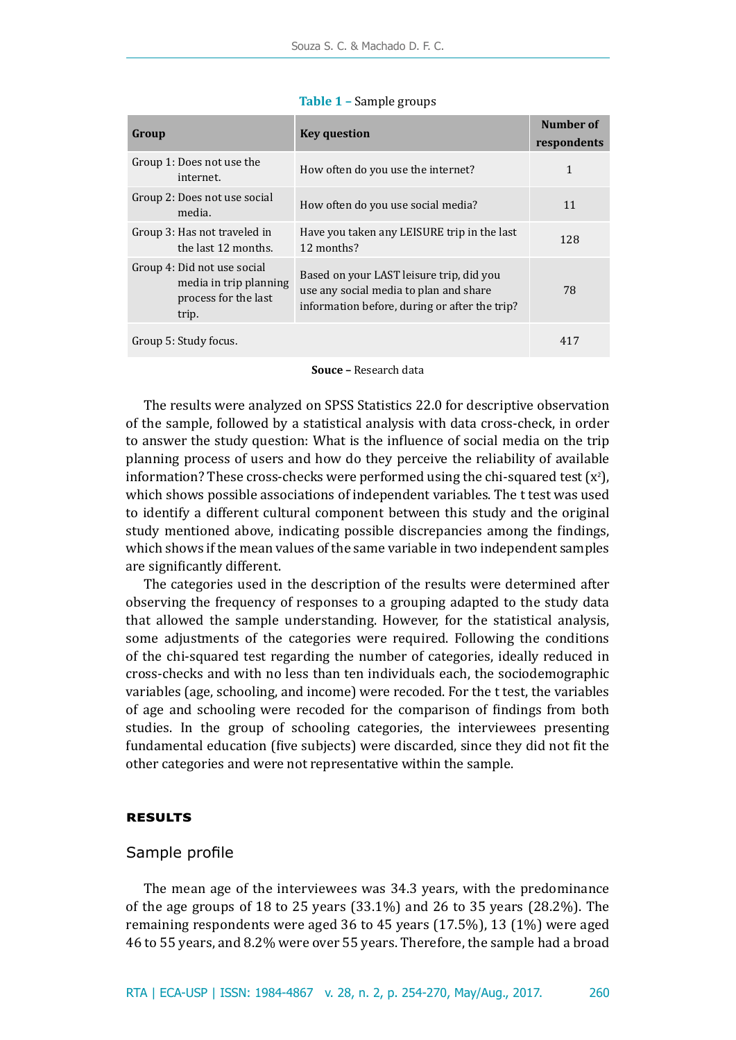| Group                                                                                  | <b>Key question</b>                                                                                                                 | Number of<br>respondents |
|----------------------------------------------------------------------------------------|-------------------------------------------------------------------------------------------------------------------------------------|--------------------------|
| Group 1: Does not use the<br>internet.                                                 | How often do you use the internet?                                                                                                  | 1                        |
| Group 2: Does not use social<br>media.                                                 | How often do you use social media?                                                                                                  | 11                       |
| Group 3: Has not traveled in<br>the last 12 months.                                    | Have you taken any LEISURE trip in the last<br>12 months?                                                                           | 128                      |
| Group 4: Did not use social<br>media in trip planning<br>process for the last<br>trip. | Based on your LAST leisure trip, did you<br>use any social media to plan and share<br>information before, during or after the trip? | 78                       |
| Group 5: Study focus.                                                                  |                                                                                                                                     | 417                      |

#### **Table 1 –** Sample groups

**Souce –** Research data

The results were analyzed on SPSS Statistics 22.0 for descriptive observation of the sample, followed by a statistical analysis with data cross-check, in order to answer the study question: What is the influence of social media on the trip planning process of users and how do they perceive the reliability of available information? These cross-checks were performed using the chi-squared test  $(x^2)$ , which shows possible associations of independent variables. The t test was used to identify a different cultural component between this study and the original study mentioned above, indicating possible discrepancies among the findings, which shows if the mean values of the same variable in two independent samples are significantly different.

The categories used in the description of the results were determined after observing the frequency of responses to a grouping adapted to the study data that allowed the sample understanding. However, for the statistical analysis, some adjustments of the categories were required. Following the conditions of the chi-squared test regarding the number of categories, ideally reduced in cross-checks and with no less than ten individuals each, the sociodemographic variables (age, schooling, and income) were recoded. For the t test, the variables of age and schooling were recoded for the comparison of findings from both studies. In the group of schooling categories, the interviewees presenting fundamental education (five subjects) were discarded, since they did not fit the other categories and were not representative within the sample.

# **results**

### Sample profile

The mean age of the interviewees was 34.3 years, with the predominance of the age groups of 18 to 25 years (33.1%) and 26 to 35 years (28.2%). The remaining respondents were aged 36 to 45 years (17.5%), 13 (1%) were aged 46 to 55 years, and 8.2% were over 55 years. Therefore, the sample had a broad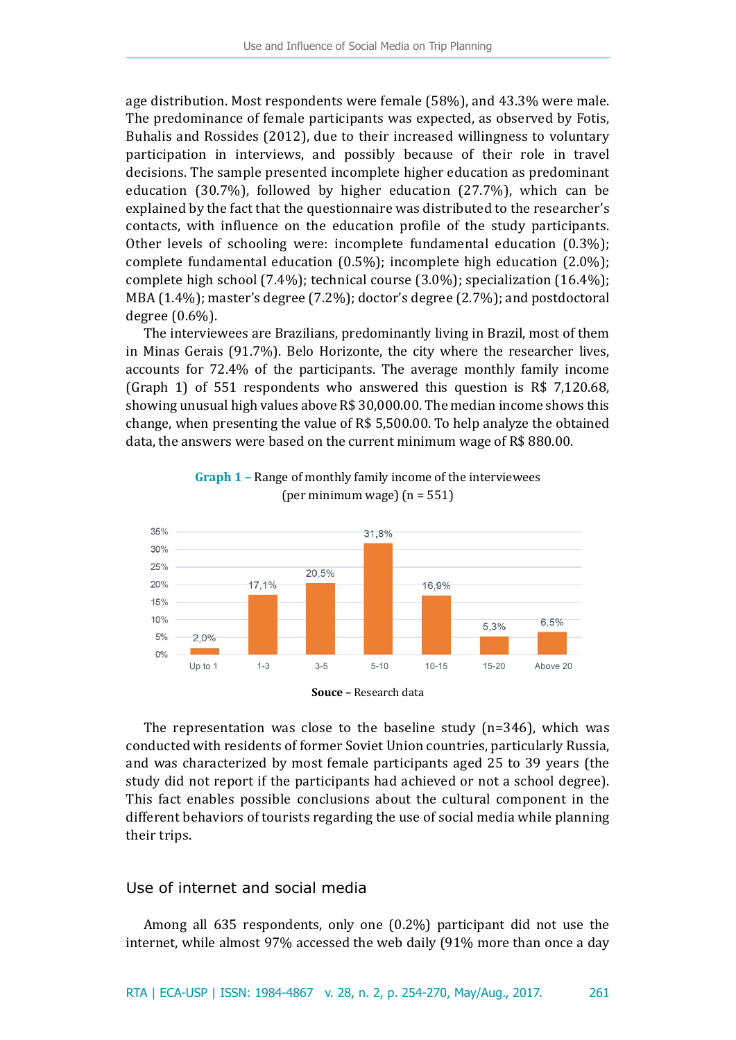age distribution. Most respondents were female (58%), and 43.3% were male. The predominance of female participants was expected, as observed by Fotis, Buhalis and Rossides (2012), due to their increased willingness to voluntary participation in interviews, and possibly because of their role in travel decisions. The sample presented incomplete higher education as predominant education (30.7%), followed by higher education (27.7%), which can be explained by the fact that the questionnaire was distributed to the researcher's contacts, with influence on the education profile of the study participants. Other levels of schooling were: incomplete fundamental education (0.3%); complete fundamental education (0.5%); incomplete high education (2.0%); complete high school (7.4%); technical course (3.0%); specialization (16.4%); MBA (1.4%); master's degree (7.2%); doctor's degree (2.7%); and postdoctoral degree (0.6%).

The interviewees are Brazilians, predominantly living in Brazil, most of them in Minas Gerais (91.7%). Belo Horizonte, the city where the researcher lives, accounts for 72.4% of the participants. The average monthly family income (Graph 1) of 551 respondents who answered this question is R\$ 7,120.68, showing unusual high values above R\$ 30,000.00. The median income shows this change, when presenting the value of R\$ 5,500.00. To help analyze the obtained data, the answers were based on the current minimum wage of R\$ 880.00.



**Graph 1 –** Range of monthly family income of the interviewees (per minimum wage)  $(n = 551)$ 

The representation was close to the baseline study  $(n=346)$ , which was conducted with residents of former Soviet Union countries, particularly Russia, and was characterized by most female participants aged 25 to 39 years (the study did not report if the participants had achieved or not a school degree). This fact enables possible conclusions about the cultural component in the different behaviors of tourists regarding the use of social media while planning their trips.

# Use of internet and social media

Among all 635 respondents, only one (0.2%) participant did not use the internet, while almost 97% accessed the web daily (91% more than once a day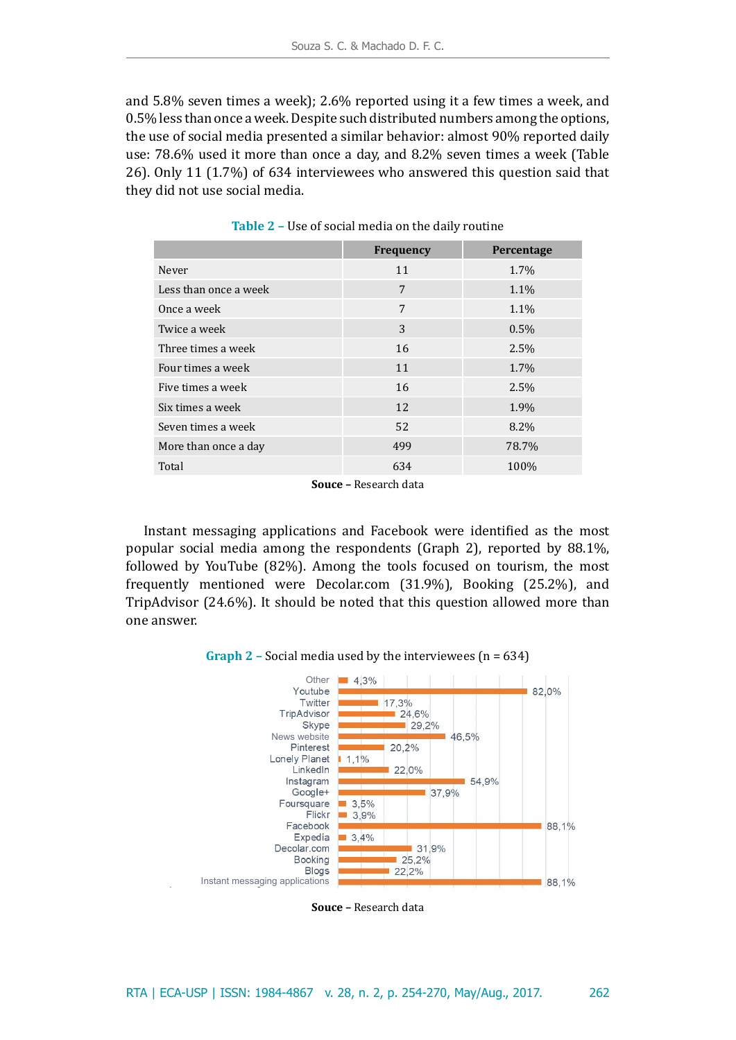and 5.8% seven times a week); 2.6% reported using it a few times a week, and 0.5% less than once a week. Despite such distributed numbers among the options, the use of social media presented a similar behavior: almost 90% reported daily use: 78.6% used it more than once a day, and 8.2% seven times a week (Table 26). Only 11 (1.7%) of 634 interviewees who answered this question said that they did not use social media.

|                       | <b>Frequency</b> | Percentage |
|-----------------------|------------------|------------|
| Never                 | 11               | 1.7%       |
| Less than once a week | 7                | 1.1%       |
| Once a week           | 7                | 1.1%       |
| Twice a week          | 3                | 0.5%       |
| Three times a week    | 16               | 2.5%       |
| Four times a week     | 11               | 1.7%       |
| Five times a week     | 16               | 2.5%       |
| Six times a week      | 12               | 1.9%       |
| Seven times a week    | 52               | 8.2%       |
| More than once a day  | 499              | 78.7%      |
| Total                 | 634              | 100%       |

**Table 2 –** Use of social media on the daily routine

**Souce –** Research data

Instant messaging applications and Facebook were identified as the most popular social media among the respondents (Graph 2), reported by 88.1%, followed by YouTube (82%). Among the tools focused on tourism, the most frequently mentioned were Decolar.com (31.9%), Booking (25.2%), and TripAdvisor (24.6%). It should be noted that this question allowed more than one answer.

**Graph 2 –** Social media used by the interviewees (n = 634)



**Souce –** Research data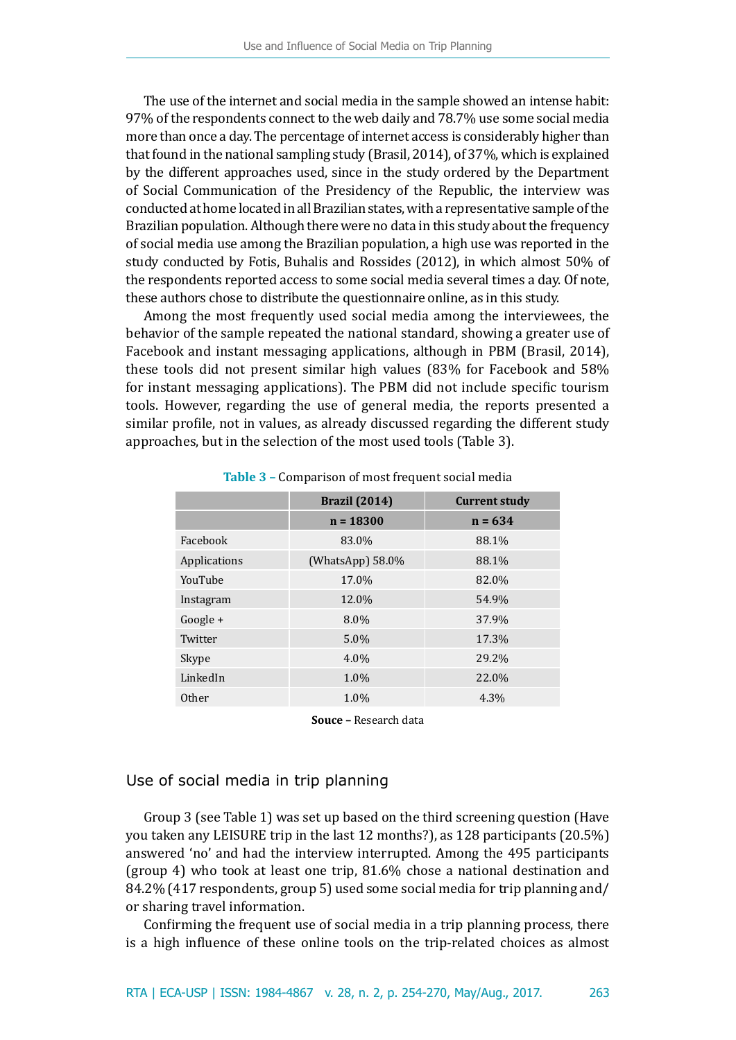The use of the internet and social media in the sample showed an intense habit: 97% of the respondents connect to the web daily and 78.7% use some social media more than once a day. The percentage of internet access is considerably higher than that found in the national sampling study (Brasil, 2014), of 37%, which is explained by the different approaches used, since in the study ordered by the Department of Social Communication of the Presidency of the Republic, the interview was conducted at home located in all Brazilian states, with a representative sample of the Brazilian population. Although there were no data in this study about the frequency of social media use among the Brazilian population, a high use was reported in the study conducted by Fotis, Buhalis and Rossides (2012), in which almost 50% of the respondents reported access to some social media several times a day. Of note, these authors chose to distribute the questionnaire online, as in this study.

Among the most frequently used social media among the interviewees, the behavior of the sample repeated the national standard, showing a greater use of Facebook and instant messaging applications, although in PBM (Brasil, 2014), these tools did not present similar high values (83% for Facebook and 58% for instant messaging applications). The PBM did not include specific tourism tools. However, regarding the use of general media, the reports presented a similar profile, not in values, as already discussed regarding the different study approaches, but in the selection of the most used tools (Table 3).

|              | <b>Brazil</b> (2014) | <b>Current study</b> |  |  |
|--------------|----------------------|----------------------|--|--|
|              | $n = 18300$          | $n = 634$            |  |  |
| Facebook     | 83.0%                | 88.1%                |  |  |
| Applications | (WhatsApp) 58.0%     | 88.1%                |  |  |
| YouTube      | 17.0%                | 82.0%                |  |  |
| Instagram    | 12.0%                | 54.9%                |  |  |
| $Google +$   | 8.0%                 | 37.9%                |  |  |
| Twitter      | 5.0%                 | 17.3%                |  |  |
| Skype        | 4.0%                 | 29.2%                |  |  |
| LinkedIn     | 1.0%                 | 22.0%                |  |  |
| Other        | 1.0%                 | 4.3%                 |  |  |

**Table 3 –** Comparison of most frequent social media

**Souce –** Research data

# Use of social media in trip planning

Group 3 (see Table 1) was set up based on the third screening question (Have you taken any LEISURE trip in the last 12 months?), as 128 participants (20.5%) answered 'no' and had the interview interrupted. Among the 495 participants (group 4) who took at least one trip, 81.6% chose a national destination and 84.2% (417 respondents, group 5) used some social media for trip planning and/ or sharing travel information.

Confirming the frequent use of social media in a trip planning process, there is a high influence of these online tools on the trip-related choices as almost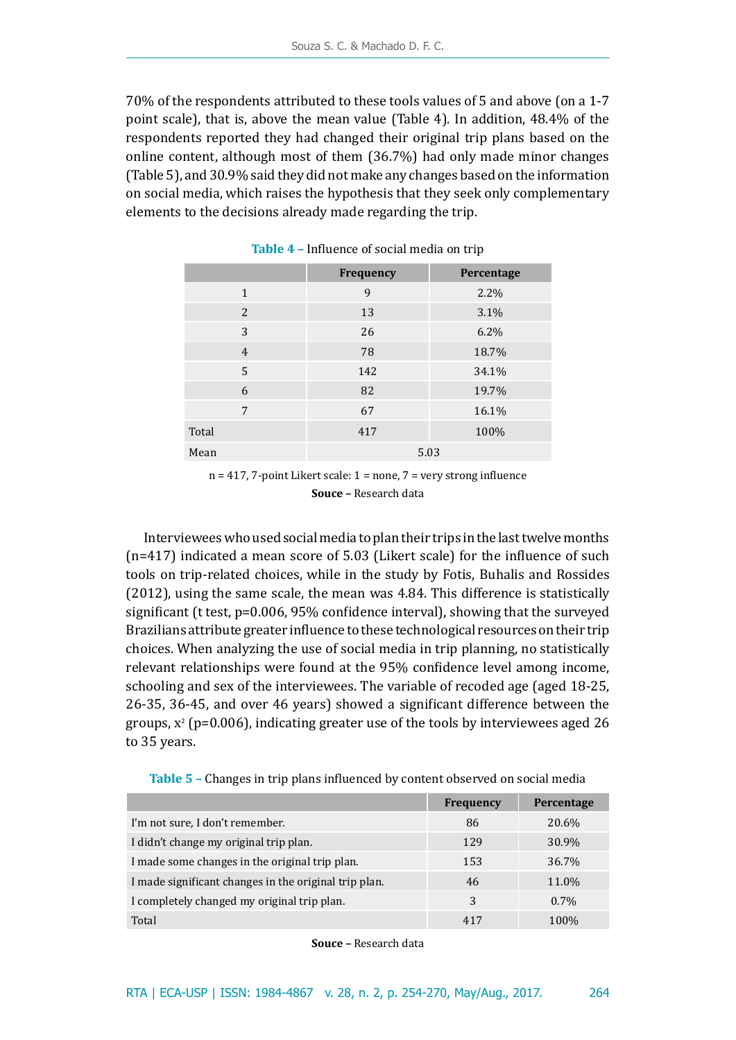70% of the respondents attributed to these tools values of 5 and above (on a 1-7 point scale), that is, above the mean value (Table 4). In addition, 48.4% of the respondents reported they had changed their original trip plans based on the online content, although most of them (36.7%) had only made minor changes (Table 5), and 30.9% said they did not make any changes based on the information on social media, which raises the hypothesis that they seek only complementary elements to the decisions already made regarding the trip.

|                | Frequency | Percentage |
|----------------|-----------|------------|
| $\mathbf{1}$   | 9         | 2.2%       |
| 2              | 13        | 3.1%       |
| 3              | 26        | 6.2%       |
| $\overline{4}$ | 78        | 18.7%      |
| 5              | 142       | 34.1%      |
| 6              | 82        | 19.7%      |
| 7              | 67        | 16.1%      |
| Total          | 417       | 100%       |
| Mean           | 5.03      |            |

**Table 4 –** Influence of social media on trip

 $n = 417$ , 7-point Likert scale:  $1 = none$ , 7 = very strong influence **Souce –** Research data

Interviewees who used social media to plan their trips in the last twelve months (n=417) indicated a mean score of 5.03 (Likert scale) for the influence of such tools on trip-related choices, while in the study by Fotis, Buhalis and Rossides (2012), using the same scale, the mean was 4.84. This difference is statistically significant (t test, p=0.006, 95% confidence interval), showing that the surveyed Brazilians attribute greater influence to these technological resources on their trip choices. When analyzing the use of social media in trip planning, no statistically relevant relationships were found at the 95% confidence level among income, schooling and sex of the interviewees. The variable of recoded age (aged 18-25, 26-35, 36-45, and over 46 years) showed a significant difference between the groups,  $x^2$  (p=0.006), indicating greater use of the tools by interviewees aged 26 to 35 years.

| Table 5 - Changes in trip plans influenced by content observed on social media |
|--------------------------------------------------------------------------------|
|--------------------------------------------------------------------------------|

|                                                       | <b>Frequency</b> | Percentage |
|-------------------------------------------------------|------------------|------------|
| I'm not sure, I don't remember.                       | 86               | 20.6%      |
| I didn't change my original trip plan.                | 129              | 30.9%      |
| I made some changes in the original trip plan.        | 153              | 36.7%      |
| I made significant changes in the original trip plan. | 46               | 11.0%      |
| I completely changed my original trip plan.           | 3                | $0.7\%$    |
| Total                                                 | 417              | 100\%      |

**Souce –** Research data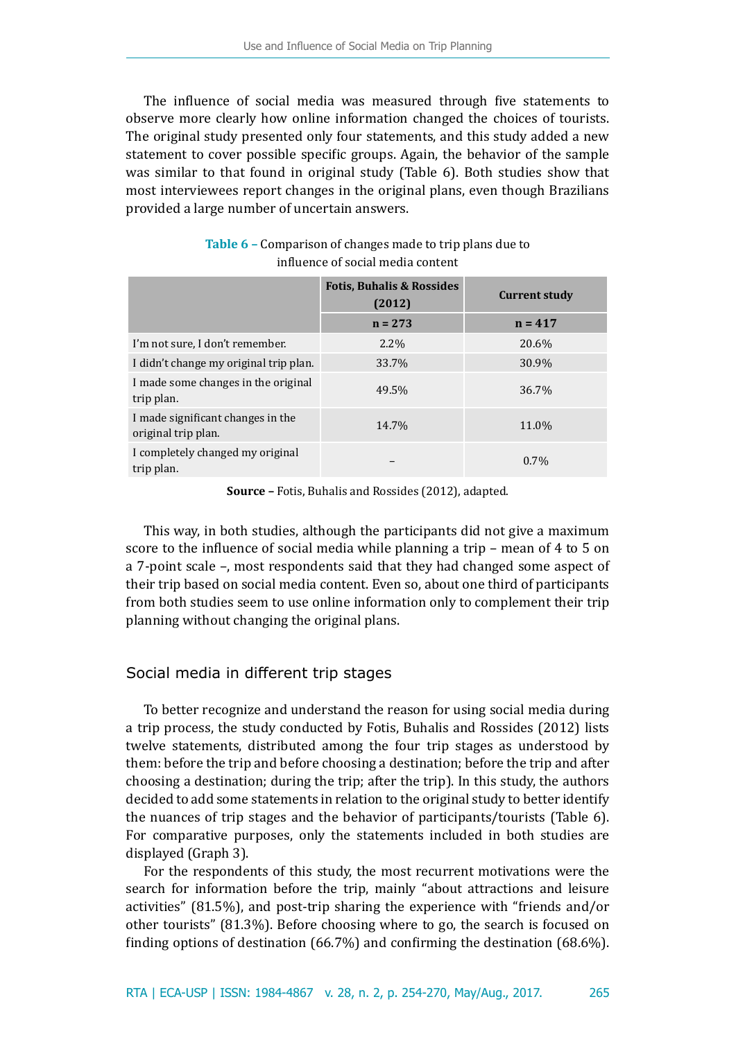The influence of social media was measured through five statements to observe more clearly how online information changed the choices of tourists. The original study presented only four statements, and this study added a new statement to cover possible specific groups. Again, the behavior of the sample was similar to that found in original study (Table 6). Both studies show that most interviewees report changes in the original plans, even though Brazilians provided a large number of uncertain answers.

|                                                          | <b>Fotis, Buhalis &amp; Rossides</b><br>(2012) | <b>Current study</b> |
|----------------------------------------------------------|------------------------------------------------|----------------------|
|                                                          | $n = 273$                                      | $n = 417$            |
| I'm not sure, I don't remember.                          | $2.2\%$                                        | 20.6%                |
| I didn't change my original trip plan.                   | 33.7%                                          | 30.9%                |
| I made some changes in the original<br>trip plan.        | 49.5%                                          | 36.7%                |
| I made significant changes in the<br>original trip plan. | 14.7%                                          | 11.0%                |
| I completely changed my original<br>trip plan.           |                                                | 0.7%                 |

| Table 6 – Comparison of changes made to trip plans due to |
|-----------------------------------------------------------|
| influence of social media content                         |

**Source –** Fotis, Buhalis and Rossides (2012), adapted.

This way, in both studies, although the participants did not give a maximum score to the influence of social media while planning a trip – mean of 4 to 5 on a 7-point scale –, most respondents said that they had changed some aspect of their trip based on social media content. Even so, about one third of participants from both studies seem to use online information only to complement their trip planning without changing the original plans.

# Social media in different trip stages

To better recognize and understand the reason for using social media during a trip process, the study conducted by Fotis, Buhalis and Rossides (2012) lists twelve statements, distributed among the four trip stages as understood by them: before the trip and before choosing a destination; before the trip and after choosing a destination; during the trip; after the trip). In this study, the authors decided to add some statements in relation to the original study to better identify the nuances of trip stages and the behavior of participants/tourists (Table 6). For comparative purposes, only the statements included in both studies are displayed (Graph 3).

For the respondents of this study, the most recurrent motivations were the search for information before the trip, mainly "about attractions and leisure activities" (81.5%), and post-trip sharing the experience with "friends and/or other tourists" (81.3%). Before choosing where to go, the search is focused on finding options of destination (66.7%) and confirming the destination (68.6%).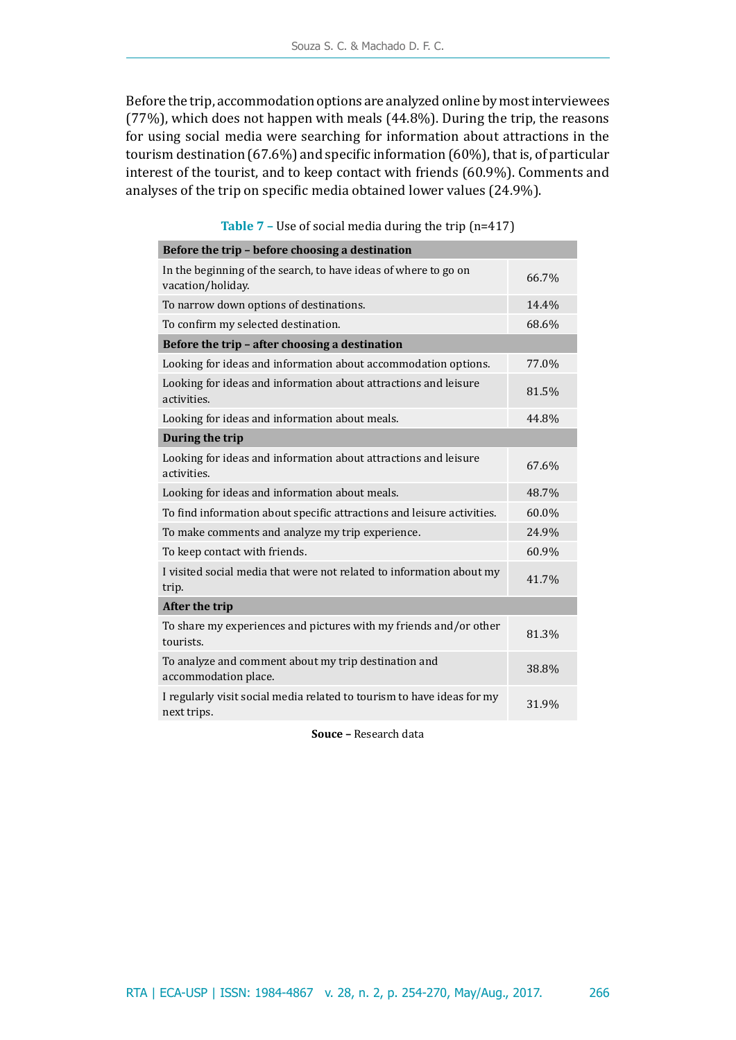Before the trip, accommodation options are analyzed online by most interviewees (77%), which does not happen with meals (44.8%). During the trip, the reasons for using social media were searching for information about attractions in the tourism destination (67.6%) and specific information (60%), that is, of particular interest of the tourist, and to keep contact with friends (60.9%). Comments and analyses of the trip on specific media obtained lower values (24.9%).

| Before the trip - before choosing a destination                                       |       |
|---------------------------------------------------------------------------------------|-------|
| In the beginning of the search, to have ideas of where to go on<br>vacation/holiday.  | 66.7% |
| To narrow down options of destinations.                                               | 14.4% |
| To confirm my selected destination.                                                   | 68.6% |
| Before the trip - after choosing a destination                                        |       |
| Looking for ideas and information about accommodation options.                        | 77.0% |
| Looking for ideas and information about attractions and leisure<br>activities.        | 81.5% |
| Looking for ideas and information about meals.                                        | 44.8% |
| During the trip                                                                       |       |
| Looking for ideas and information about attractions and leisure<br>activities.        | 67.6% |
| Looking for ideas and information about meals.                                        | 48.7% |
| To find information about specific attractions and leisure activities.                | 60.0% |
| To make comments and analyze my trip experience.                                      | 24.9% |
| To keep contact with friends.                                                         | 60.9% |
| I visited social media that were not related to information about my<br>trip.         | 41.7% |
| After the trip                                                                        |       |
| To share my experiences and pictures with my friends and/or other<br>tourists.        | 81.3% |
| To analyze and comment about my trip destination and<br>accommodation place.          | 38.8% |
| I regularly visit social media related to tourism to have ideas for my<br>next trips. | 31.9% |

**Table 7 –** Use of social media during the trip (n=417)

**Souce –** Research data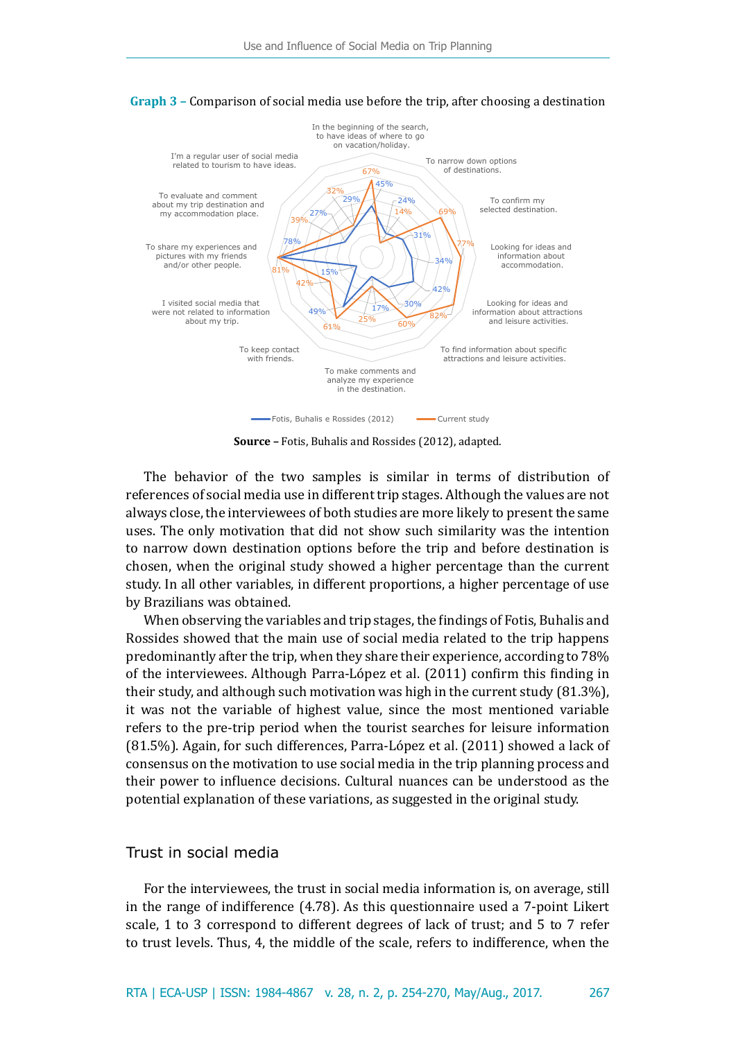

#### **Graph 3 –** Comparison of social media use before the trip, after choosing a destination

**Source –** Fotis, Buhalis and Rossides (2012), adapted.

The behavior of the two samples is similar in terms of distribution of references of social media use in different trip stages. Although the values are not always close, the interviewees of both studies are more likely to present the same uses. The only motivation that did not show such similarity was the intention to narrow down destination options before the trip and before destination is chosen, when the original study showed a higher percentage than the current study. In all other variables, in different proportions, a higher percentage of use by Brazilians was obtained.

When observing the variables and trip stages, the findings of Fotis, Buhalis and Rossides showed that the main use of social media related to the trip happens predominantly after the trip, when they share their experience, according to 78% of the interviewees. Although Parra-López et al. (2011) confirm this finding in their study, and although such motivation was high in the current study (81.3%), it was not the variable of highest value, since the most mentioned variable refers to the pre-trip period when the tourist searches for leisure information (81.5%). Again, for such differences, Parra-López et al. (2011) showed a lack of consensus on the motivation to use social media in the trip planning process and their power to influence decisions. Cultural nuances can be understood as the potential explanation of these variations, as suggested in the original study.

# Trust in social media

For the interviewees, the trust in social media information is, on average, still in the range of indifference (4.78). As this questionnaire used a 7-point Likert scale, 1 to 3 correspond to different degrees of lack of trust; and 5 to 7 refer to trust levels. Thus, 4, the middle of the scale, refers to indifference, when the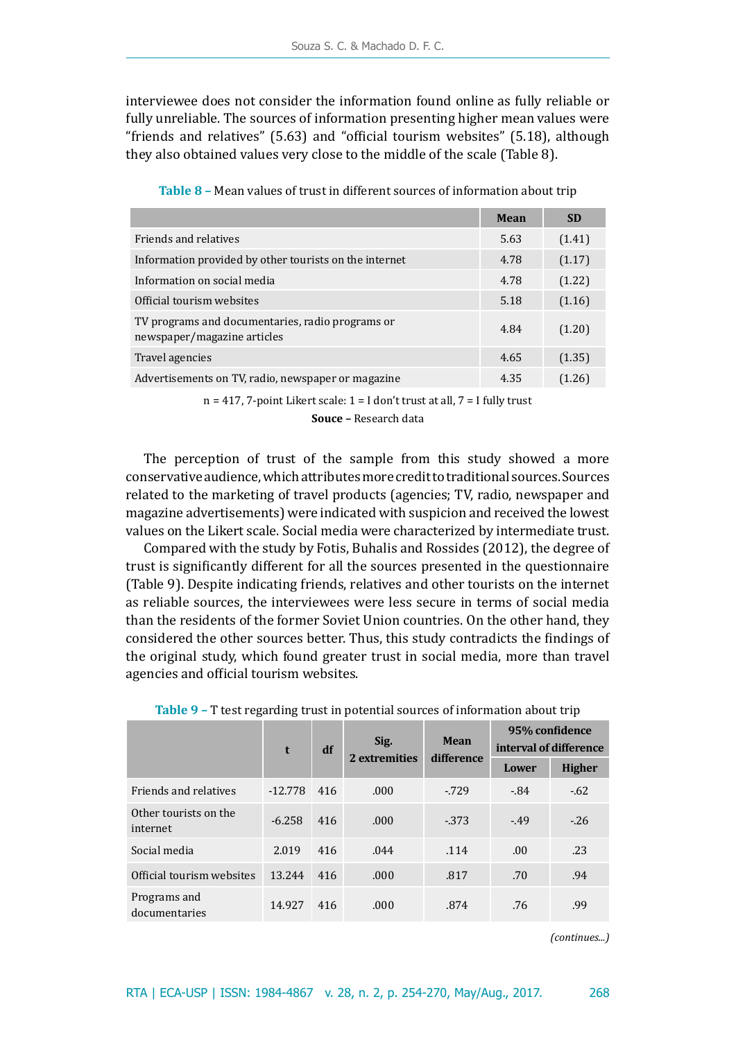interviewee does not consider the information found online as fully reliable or fully unreliable. The sources of information presenting higher mean values were "friends and relatives" (5.63) and "official tourism websites" (5.18), although they also obtained values very close to the middle of the scale (Table 8).

|                                                                                 | Mean | <b>SD</b> |
|---------------------------------------------------------------------------------|------|-----------|
| Friends and relatives                                                           | 5.63 | (1.41)    |
| Information provided by other tourists on the internet                          | 4.78 | (1.17)    |
| Information on social media                                                     | 4.78 | (1.22)    |
| Official tourism websites                                                       | 5.18 | (1.16)    |
| TV programs and documentaries, radio programs or<br>newspaper/magazine articles | 4.84 | (1.20)    |
| Travel agencies                                                                 | 4.65 | (1.35)    |
| Advertisements on TV, radio, newspaper or magazine                              | 4.35 | (1.26)    |
|                                                                                 |      |           |

**Table 8 –** Mean values of trust in different sources of information about trip

 $n = 417$ , 7-point Likert scale:  $1 = I$  don't trust at all,  $7 = I$  fully trust

**Souce –** Research data

The perception of trust of the sample from this study showed a more conservative audience, which attributes more credit to traditional sources. Sources related to the marketing of travel products (agencies; TV, radio, newspaper and magazine advertisements) were indicated with suspicion and received the lowest values on the Likert scale. Social media were characterized by intermediate trust.

Compared with the study by Fotis, Buhalis and Rossides (2012), the degree of trust is significantly different for all the sources presented in the questionnaire (Table 9). Despite indicating friends, relatives and other tourists on the internet as reliable sources, the interviewees were less secure in terms of social media than the residents of the former Soviet Union countries. On the other hand, they considered the other sources better. Thus, this study contradicts the findings of the original study, which found greater trust in social media, more than travel agencies and official tourism websites.

|                                   | t         | df  | Sig.          | <b>Mean</b><br>difference | 95% confidence<br>interval of difference |               |
|-----------------------------------|-----------|-----|---------------|---------------------------|------------------------------------------|---------------|
|                                   |           |     | 2 extremities |                           | Lower                                    | <b>Higher</b> |
| Friends and relatives             | $-12.778$ | 416 | .000          | $-729$                    | $-84$                                    | $-.62$        |
| Other tourists on the<br>internet | $-6.258$  | 416 | .000          | $-373$                    | $-49$                                    | $-26$         |
| Social media                      | 2.019     | 416 | .044          | .114                      | .00.                                     | .23           |
| Official tourism websites         | 13.244    | 416 | .000          | .817                      | .70                                      | .94           |
| Programs and<br>documentaries     | 14.927    | 416 | .000          | .874                      | .76                                      | .99           |

**Table 9 –** T test regarding trust in potential sources of information about trip

*(continues...)*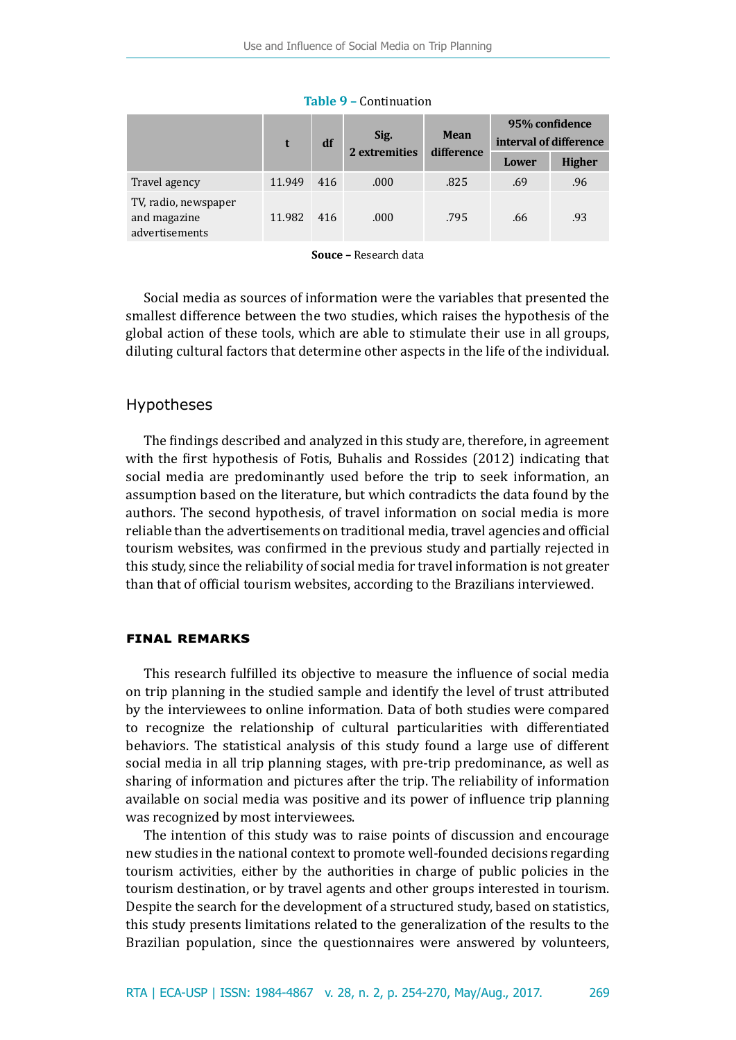|                                                        | df     |     | Sig.          | <b>Mean</b> | 95% confidence<br>interval of difference |               |
|--------------------------------------------------------|--------|-----|---------------|-------------|------------------------------------------|---------------|
|                                                        |        |     | 2 extremities | difference  | Lower                                    | <b>Higher</b> |
| Travel agency                                          | 11.949 | 416 | .000          | .825        | .69                                      | .96           |
| TV, radio, newspaper<br>and magazine<br>advertisements | 11.982 | 416 | .000          | .795        | .66                                      | .93           |

**Table 9 –** Continuation

**Souce –** Research data

Social media as sources of information were the variables that presented the smallest difference between the two studies, which raises the hypothesis of the global action of these tools, which are able to stimulate their use in all groups, diluting cultural factors that determine other aspects in the life of the individual.

# Hypotheses

The findings described and analyzed in this study are, therefore, in agreement with the first hypothesis of Fotis, Buhalis and Rossides (2012) indicating that social media are predominantly used before the trip to seek information, an assumption based on the literature, but which contradicts the data found by the authors. The second hypothesis, of travel information on social media is more reliable than the advertisements on traditional media, travel agencies and official tourism websites, was confirmed in the previous study and partially rejected in this study, since the reliability of social media for travel information is not greater than that of official tourism websites, according to the Brazilians interviewed.

### **final remarks**

This research fulfilled its objective to measure the influence of social media on trip planning in the studied sample and identify the level of trust attributed by the interviewees to online information. Data of both studies were compared to recognize the relationship of cultural particularities with differentiated behaviors. The statistical analysis of this study found a large use of different social media in all trip planning stages, with pre-trip predominance, as well as sharing of information and pictures after the trip. The reliability of information available on social media was positive and its power of influence trip planning was recognized by most interviewees.

The intention of this study was to raise points of discussion and encourage new studies in the national context to promote well-founded decisions regarding tourism activities, either by the authorities in charge of public policies in the tourism destination, or by travel agents and other groups interested in tourism. Despite the search for the development of a structured study, based on statistics, this study presents limitations related to the generalization of the results to the Brazilian population, since the questionnaires were answered by volunteers,